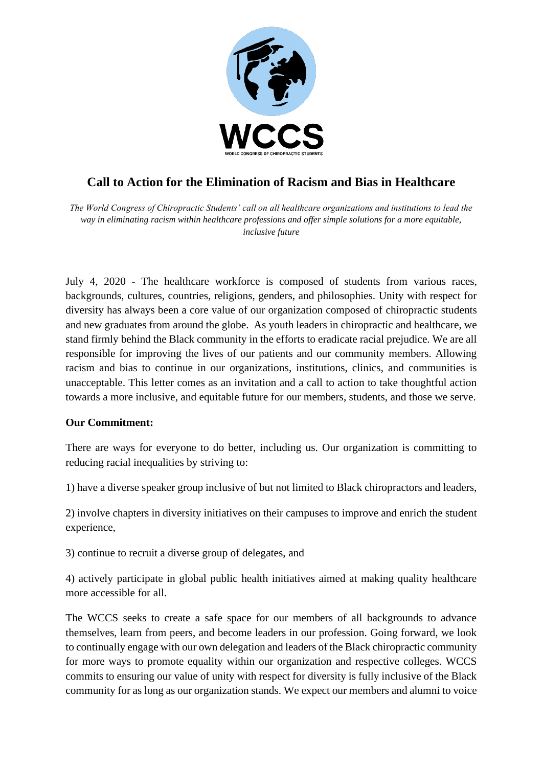

## **Call to Action for the Elimination of Racism and Bias in Healthcare**

*The World Congress of Chiropractic Students' call on all healthcare organizations and institutions to lead the way in eliminating racism within healthcare professions and offer simple solutions for a more equitable, inclusive future*

July 4, 2020 - The healthcare workforce is composed of students from various races, backgrounds, cultures, countries, religions, genders, and philosophies. Unity with respect for diversity has always been a core value of our organization composed of chiropractic students and new graduates from around the globe. As youth leaders in chiropractic and healthcare, we stand firmly behind the Black community in the efforts to eradicate racial prejudice. We are all responsible for improving the lives of our patients and our community members. Allowing racism and bias to continue in our organizations, institutions, clinics, and communities is unacceptable. This letter comes as an invitation and a call to action to take thoughtful action towards a more inclusive, and equitable future for our members, students, and those we serve.

## **Our Commitment:**

There are ways for everyone to do better, including us. Our organization is committing to reducing racial inequalities by striving to:

1) have a diverse speaker group inclusive of but not limited to Black chiropractors and leaders,

2) involve chapters in diversity initiatives on their campuses to improve and enrich the student experience,

3) continue to recruit a diverse group of delegates, and

4) actively participate in global public health initiatives aimed at making quality healthcare more accessible for all.

The WCCS seeks to create a safe space for our members of all backgrounds to advance themselves, learn from peers, and become leaders in our profession. Going forward, we look to continually engage with our own delegation and leaders of the Black chiropractic community for more ways to promote equality within our organization and respective colleges. WCCS commits to ensuring our value of unity with respect for diversity is fully inclusive of the Black community for as long as our organization stands. We expect our members and alumni to voice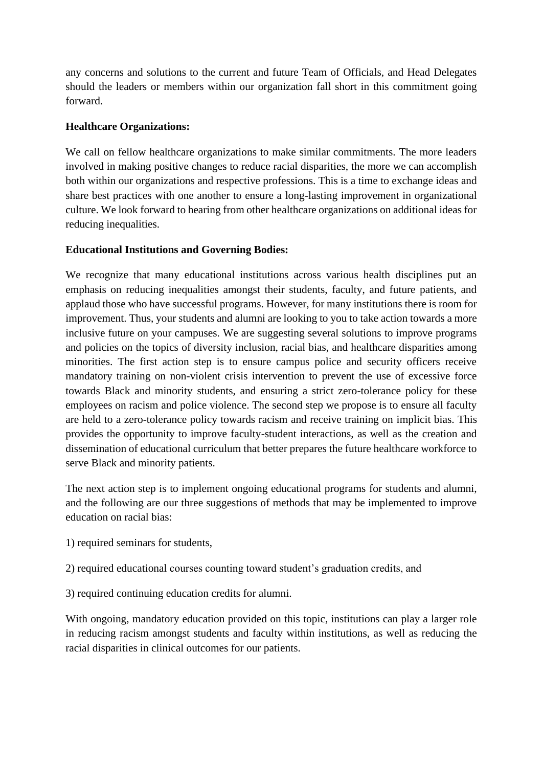any concerns and solutions to the current and future Team of Officials, and Head Delegates should the leaders or members within our organization fall short in this commitment going forward.

## **Healthcare Organizations:**

We call on fellow healthcare organizations to make similar commitments. The more leaders involved in making positive changes to reduce racial disparities, the more we can accomplish both within our organizations and respective professions. This is a time to exchange ideas and share best practices with one another to ensure a long-lasting improvement in organizational culture. We look forward to hearing from other healthcare organizations on additional ideas for reducing inequalities.

## **Educational Institutions and Governing Bodies:**

We recognize that many educational institutions across various health disciplines put an emphasis on reducing inequalities amongst their students, faculty, and future patients, and applaud those who have successful programs. However, for many institutions there is room for improvement. Thus, your students and alumni are looking to you to take action towards a more inclusive future on your campuses. We are suggesting several solutions to improve programs and policies on the topics of diversity inclusion, racial bias, and healthcare disparities among minorities. The first action step is to ensure campus police and security officers receive mandatory training on non-violent crisis intervention to prevent the use of excessive force towards Black and minority students, and ensuring a strict zero-tolerance policy for these employees on racism and police violence. The second step we propose is to ensure all faculty are held to a zero-tolerance policy towards racism and receive training on implicit bias. This provides the opportunity to improve faculty-student interactions, as well as the creation and dissemination of educational curriculum that better prepares the future healthcare workforce to serve Black and minority patients.

The next action step is to implement ongoing educational programs for students and alumni, and the following are our three suggestions of methods that may be implemented to improve education on racial bias:

1) required seminars for students,

2) required educational courses counting toward student's graduation credits, and

3) required continuing education credits for alumni.

With ongoing, mandatory education provided on this topic, institutions can play a larger role in reducing racism amongst students and faculty within institutions, as well as reducing the racial disparities in clinical outcomes for our patients.